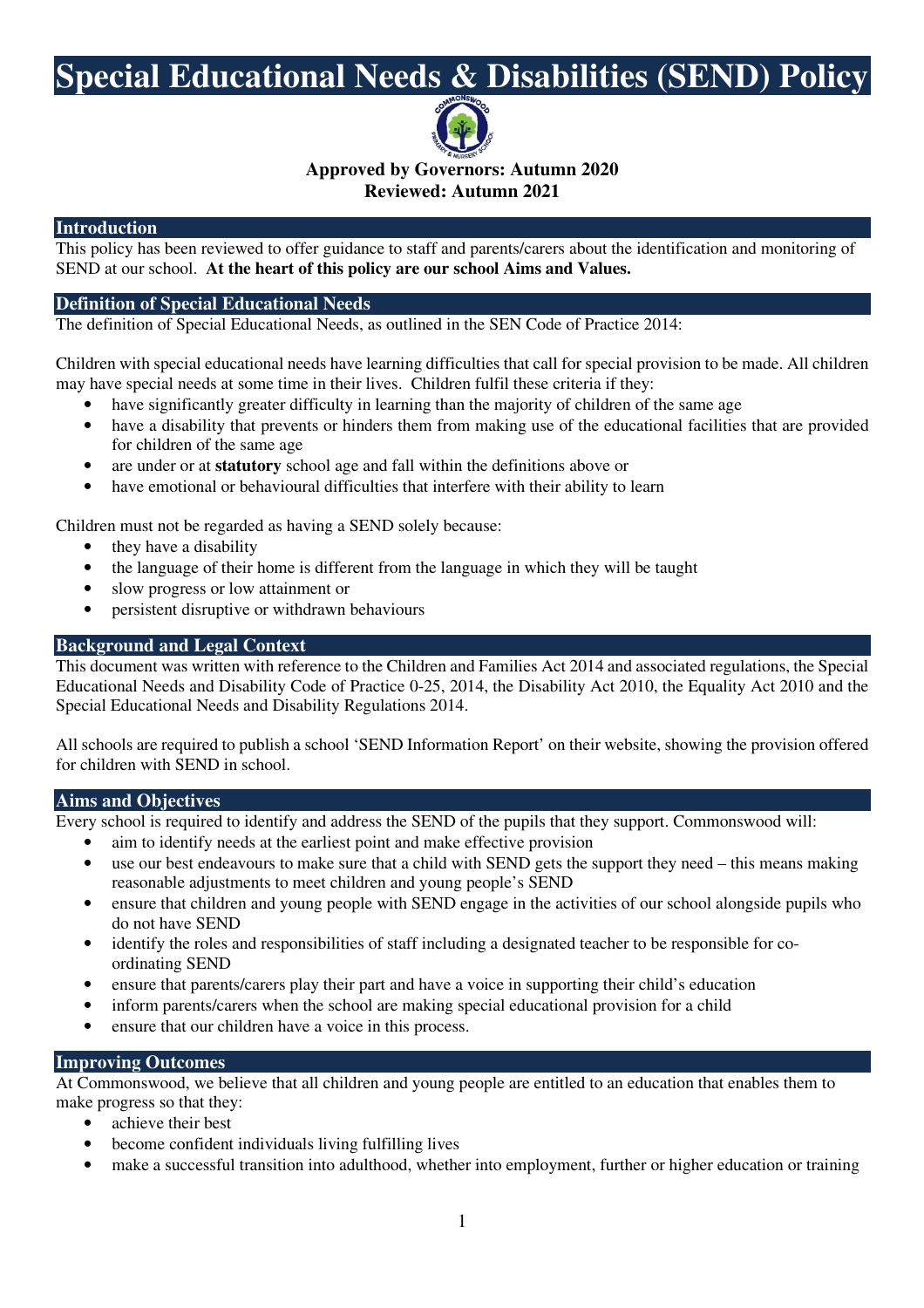# **Special Educational Needs & Disabilities (SEND) Policy**



**Approved by Governors: Autumn 2020** 

# **Reviewed: Autumn 2021**

### **Introduction**

This policy has been reviewed to offer guidance to staff and parents/carers about the identification and monitoring of SEND at our school. **At the heart of this policy are our school Aims and Values.** 

### **Definition of Special Educational Needs**

The definition of Special Educational Needs, as outlined in the SEN Code of Practice 2014:

Children with special educational needs have learning difficulties that call for special provision to be made. All children may have special needs at some time in their lives. Children fulfil these criteria if they:

- have significantly greater difficulty in learning than the majority of children of the same age
- have a disability that prevents or hinders them from making use of the educational facilities that are provided for children of the same age
- are under or at **statutory** school age and fall within the definitions above or
- have emotional or behavioural difficulties that interfere with their ability to learn

Children must not be regarded as having a SEND solely because:

- they have a disability
- the language of their home is different from the language in which they will be taught
- slow progress or low attainment or
- persistent disruptive or withdrawn behaviours

#### **Background and Legal Context**

This document was written with reference to the Children and Families Act 2014 and associated regulations, the Special Educational Needs and Disability Code of Practice 0-25, 2014, the Disability Act 2010, the Equality Act 2010 and the Special Educational Needs and Disability Regulations 2014.

All schools are required to publish a school 'SEND Information Report' on their website, showing the provision offered for children with SEND in school.

### **Aims and Objectives**

Every school is required to identify and address the SEND of the pupils that they support. Commonswood will:

- aim to identify needs at the earliest point and make effective provision
- use our best endeavours to make sure that a child with SEND gets the support they need this means making reasonable adjustments to meet children and young people's SEND
- ensure that children and young people with SEND engage in the activities of our school alongside pupils who do not have SEND
- identify the roles and responsibilities of staff including a designated teacher to be responsible for coordinating SEND
- ensure that parents/carers play their part and have a voice in supporting their child's education
- inform parents/carers when the school are making special educational provision for a child
- ensure that our children have a voice in this process.

### **Improving Outcomes**

At Commonswood, we believe that all children and young people are entitled to an education that enables them to make progress so that they:

- achieve their best
- become confident individuals living fulfilling lives
- make a successful transition into adulthood, whether into employment, further or higher education or training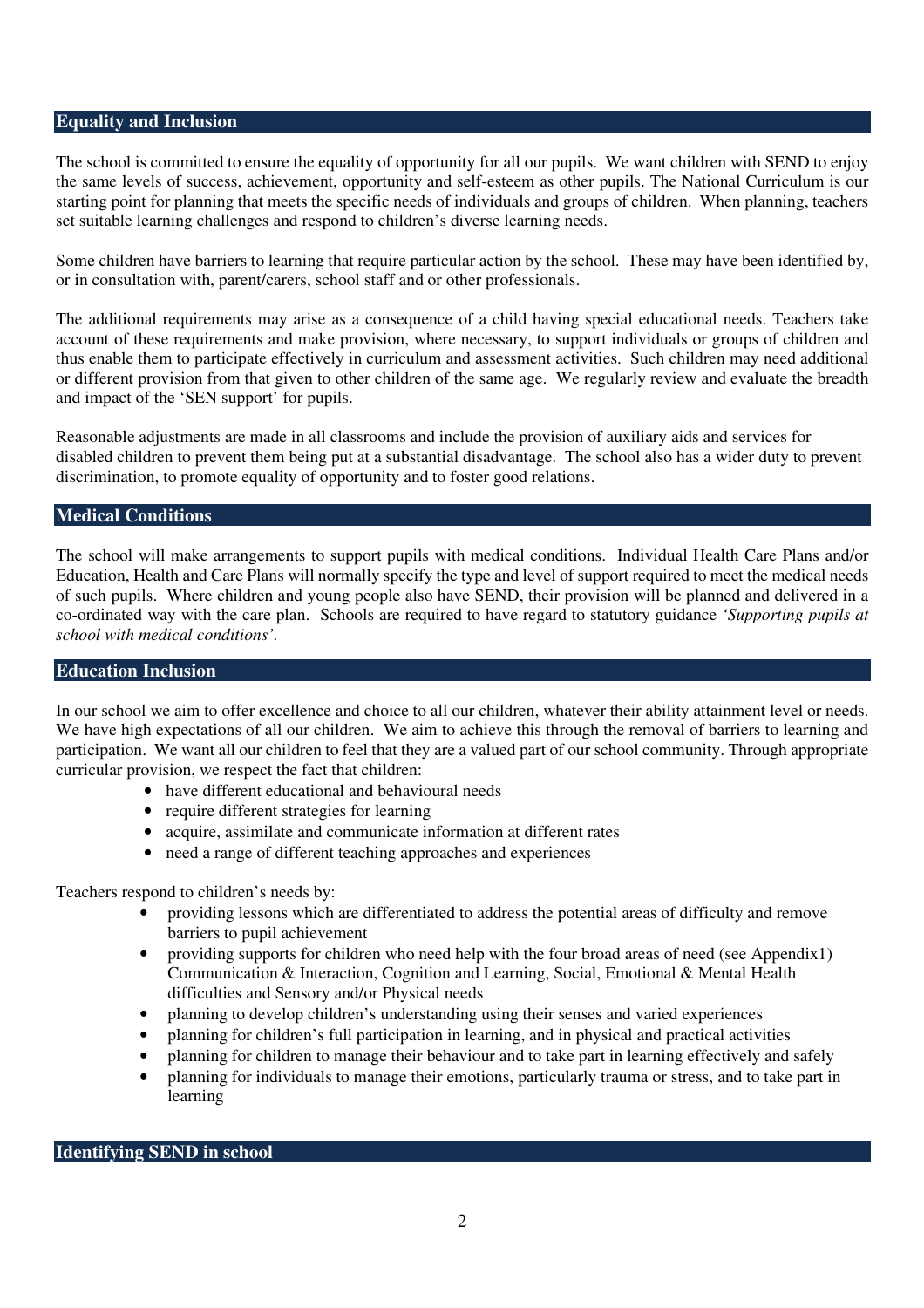#### **Equality and Inclusion**

The school is committed to ensure the equality of opportunity for all our pupils. We want children with SEND to enjoy the same levels of success, achievement, opportunity and self-esteem as other pupils. The National Curriculum is our starting point for planning that meets the specific needs of individuals and groups of children. When planning, teachers set suitable learning challenges and respond to children's diverse learning needs.

Some children have barriers to learning that require particular action by the school. These may have been identified by, or in consultation with, parent/carers, school staff and or other professionals.

The additional requirements may arise as a consequence of a child having special educational needs. Teachers take account of these requirements and make provision, where necessary, to support individuals or groups of children and thus enable them to participate effectively in curriculum and assessment activities. Such children may need additional or different provision from that given to other children of the same age. We regularly review and evaluate the breadth and impact of the 'SEN support' for pupils.

Reasonable adjustments are made in all classrooms and include the provision of auxiliary aids and services for disabled children to prevent them being put at a substantial disadvantage. The school also has a wider duty to prevent discrimination, to promote equality of opportunity and to foster good relations.

#### **Medical Conditions**

The school will make arrangements to support pupils with medical conditions. Individual Health Care Plans and/or Education, Health and Care Plans will normally specify the type and level of support required to meet the medical needs of such pupils. Where children and young people also have SEND, their provision will be planned and delivered in a co-ordinated way with the care plan. Schools are required to have regard to statutory guidance *'Supporting pupils at school with medical conditions'.* 

### **Education Inclusion**

In our school we aim to offer excellence and choice to all our children, whatever their ability attainment level or needs. We have high expectations of all our children. We aim to achieve this through the removal of barriers to learning and participation. We want all our children to feel that they are a valued part of our school community. Through appropriate curricular provision, we respect the fact that children:

- have different educational and behavioural needs
- require different strategies for learning
- acquire, assimilate and communicate information at different rates
- need a range of different teaching approaches and experiences

Teachers respond to children's needs by:

- providing lessons which are differentiated to address the potential areas of difficulty and remove barriers to pupil achievement
- providing supports for children who need help with the four broad areas of need (see Appendix1) Communication & Interaction, Cognition and Learning, Social, Emotional & Mental Health difficulties and Sensory and/or Physical needs
- planning to develop children's understanding using their senses and varied experiences
- planning for children's full participation in learning, and in physical and practical activities
- planning for children to manage their behaviour and to take part in learning effectively and safely
- planning for individuals to manage their emotions, particularly trauma or stress, and to take part in learning

**Identifying SEND in school**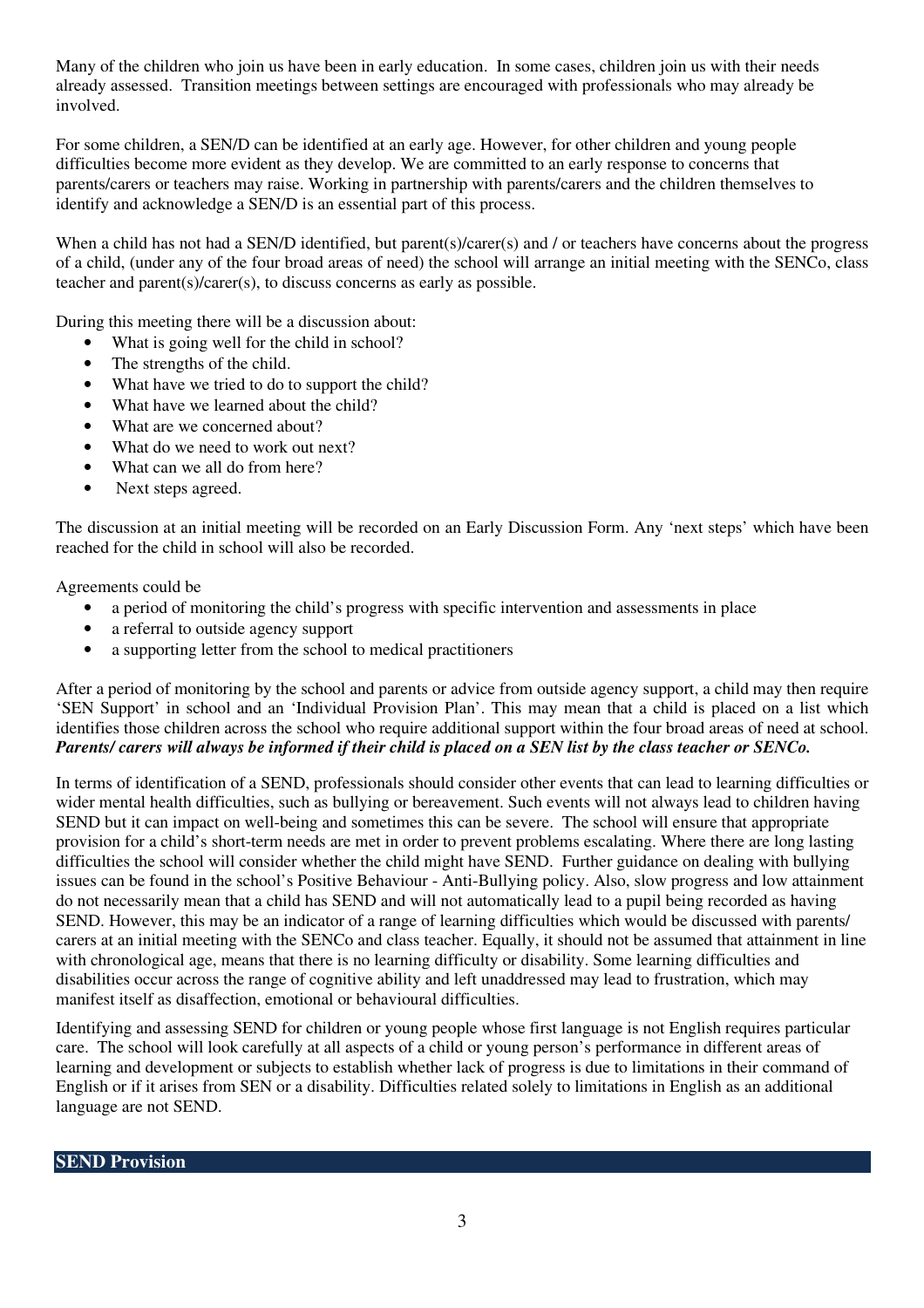Many of the children who join us have been in early education. In some cases, children join us with their needs already assessed. Transition meetings between settings are encouraged with professionals who may already be involved.

For some children, a SEN/D can be identified at an early age. However, for other children and young people difficulties become more evident as they develop. We are committed to an early response to concerns that parents/carers or teachers may raise. Working in partnership with parents/carers and the children themselves to identify and acknowledge a SEN/D is an essential part of this process.

When a child has not had a SEN/D identified, but parent(s)/carer(s) and / or teachers have concerns about the progress of a child, (under any of the four broad areas of need) the school will arrange an initial meeting with the SENCo, class teacher and parent(s)/carer(s), to discuss concerns as early as possible.

During this meeting there will be a discussion about:

- What is going well for the child in school?
- The strengths of the child.
- What have we tried to do to support the child?
- What have we learned about the child?
- What are we concerned about?
- What do we need to work out next?
- What can we all do from here?
- Next steps agreed.

The discussion at an initial meeting will be recorded on an Early Discussion Form. Any 'next steps' which have been reached for the child in school will also be recorded.

Agreements could be

- a period of monitoring the child's progress with specific intervention and assessments in place
- a referral to outside agency support
- a supporting letter from the school to medical practitioners

After a period of monitoring by the school and parents or advice from outside agency support, a child may then require 'SEN Support' in school and an 'Individual Provision Plan'. This may mean that a child is placed on a list which identifies those children across the school who require additional support within the four broad areas of need at school. *Parents/ carers will always be informed if their child is placed on a SEN list by the class teacher or SENCo.*

In terms of identification of a SEND, professionals should consider other events that can lead to learning difficulties or wider mental health difficulties, such as bullying or bereavement. Such events will not always lead to children having SEND but it can impact on well-being and sometimes this can be severe. The school will ensure that appropriate provision for a child's short-term needs are met in order to prevent problems escalating. Where there are long lasting difficulties the school will consider whether the child might have SEND. Further guidance on dealing with bullying issues can be found in the school's Positive Behaviour - Anti-Bullying policy. Also, slow progress and low attainment do not necessarily mean that a child has SEND and will not automatically lead to a pupil being recorded as having SEND. However, this may be an indicator of a range of learning difficulties which would be discussed with parents/ carers at an initial meeting with the SENCo and class teacher. Equally, it should not be assumed that attainment in line with chronological age, means that there is no learning difficulty or disability. Some learning difficulties and disabilities occur across the range of cognitive ability and left unaddressed may lead to frustration, which may manifest itself as disaffection, emotional or behavioural difficulties.

Identifying and assessing SEND for children or young people whose first language is not English requires particular care. The school will look carefully at all aspects of a child or young person's performance in different areas of learning and development or subjects to establish whether lack of progress is due to limitations in their command of English or if it arises from SEN or a disability. Difficulties related solely to limitations in English as an additional language are not SEND.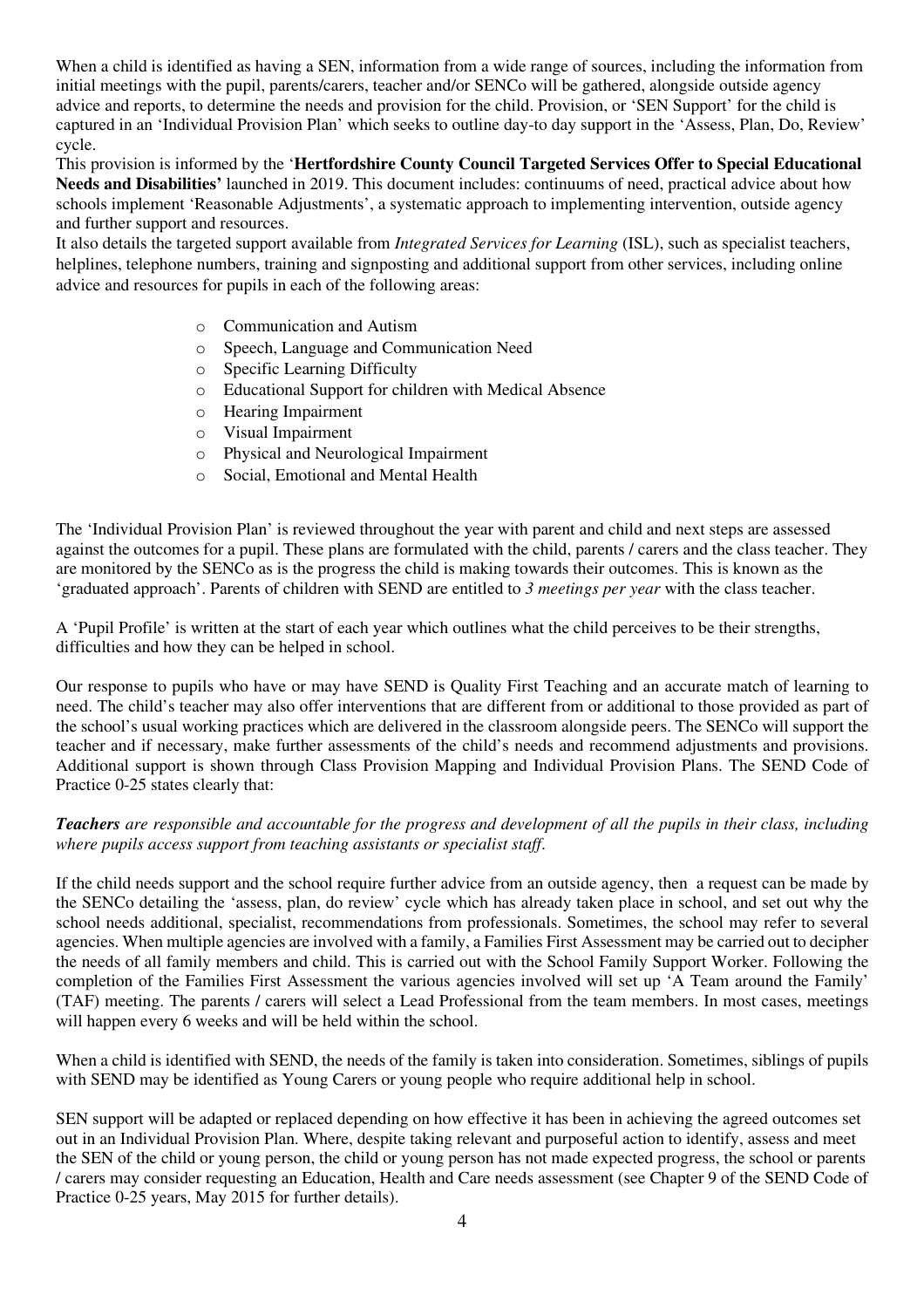When a child is identified as having a SEN, information from a wide range of sources, including the information from initial meetings with the pupil, parents/carers, teacher and/or SENCo will be gathered, alongside outside agency advice and reports, to determine the needs and provision for the child. Provision, or 'SEN Support' for the child is captured in an 'Individual Provision Plan' which seeks to outline day-to day support in the 'Assess, Plan, Do, Review' cycle.

This provision is informed by the '**Hertfordshire County Council Targeted Services Offer to Special Educational Needs and Disabilities'** launched in 2019. This document includes: continuums of need, practical advice about how schools implement 'Reasonable Adjustments', a systematic approach to implementing intervention, outside agency and further support and resources.

It also details the targeted support available from *Integrated Services for Learning* (ISL), such as specialist teachers, helplines, telephone numbers, training and signposting and additional support from other services, including online advice and resources for pupils in each of the following areas:

- o Communication and Autism
- o Speech, Language and Communication Need
- o Specific Learning Difficulty
- o Educational Support for children with Medical Absence
- o Hearing Impairment
- o Visual Impairment
- o Physical and Neurological Impairment
- o Social, Emotional and Mental Health

The 'Individual Provision Plan' is reviewed throughout the year with parent and child and next steps are assessed against the outcomes for a pupil. These plans are formulated with the child, parents / carers and the class teacher. They are monitored by the SENCo as is the progress the child is making towards their outcomes. This is known as the 'graduated approach'. Parents of children with SEND are entitled to *3 meetings per year* with the class teacher.

A 'Pupil Profile' is written at the start of each year which outlines what the child perceives to be their strengths, difficulties and how they can be helped in school.

Our response to pupils who have or may have SEND is Quality First Teaching and an accurate match of learning to need. The child's teacher may also offer interventions that are different from or additional to those provided as part of the school's usual working practices which are delivered in the classroom alongside peers. The SENCo will support the teacher and if necessary, make further assessments of the child's needs and recommend adjustments and provisions. Additional support is shown through Class Provision Mapping and Individual Provision Plans. The SEND Code of Practice 0-25 states clearly that:

#### *Teachers are responsible and accountable for the progress and development of all the pupils in their class, including where pupils access support from teaching assistants or specialist staff*.

If the child needs support and the school require further advice from an outside agency, then a request can be made by the SENCo detailing the 'assess, plan, do review' cycle which has already taken place in school, and set out why the school needs additional, specialist, recommendations from professionals. Sometimes, the school may refer to several agencies. When multiple agencies are involved with a family, a Families First Assessment may be carried out to decipher the needs of all family members and child. This is carried out with the School Family Support Worker. Following the completion of the Families First Assessment the various agencies involved will set up 'A Team around the Family' (TAF) meeting. The parents / carers will select a Lead Professional from the team members. In most cases, meetings will happen every 6 weeks and will be held within the school.

When a child is identified with SEND, the needs of the family is taken into consideration. Sometimes, siblings of pupils with SEND may be identified as Young Carers or young people who require additional help in school.

SEN support will be adapted or replaced depending on how effective it has been in achieving the agreed outcomes set out in an Individual Provision Plan. Where, despite taking relevant and purposeful action to identify, assess and meet the SEN of the child or young person, the child or young person has not made expected progress, the school or parents / carers may consider requesting an Education, Health and Care needs assessment (see Chapter 9 of the SEND Code of Practice 0-25 years, May 2015 for further details).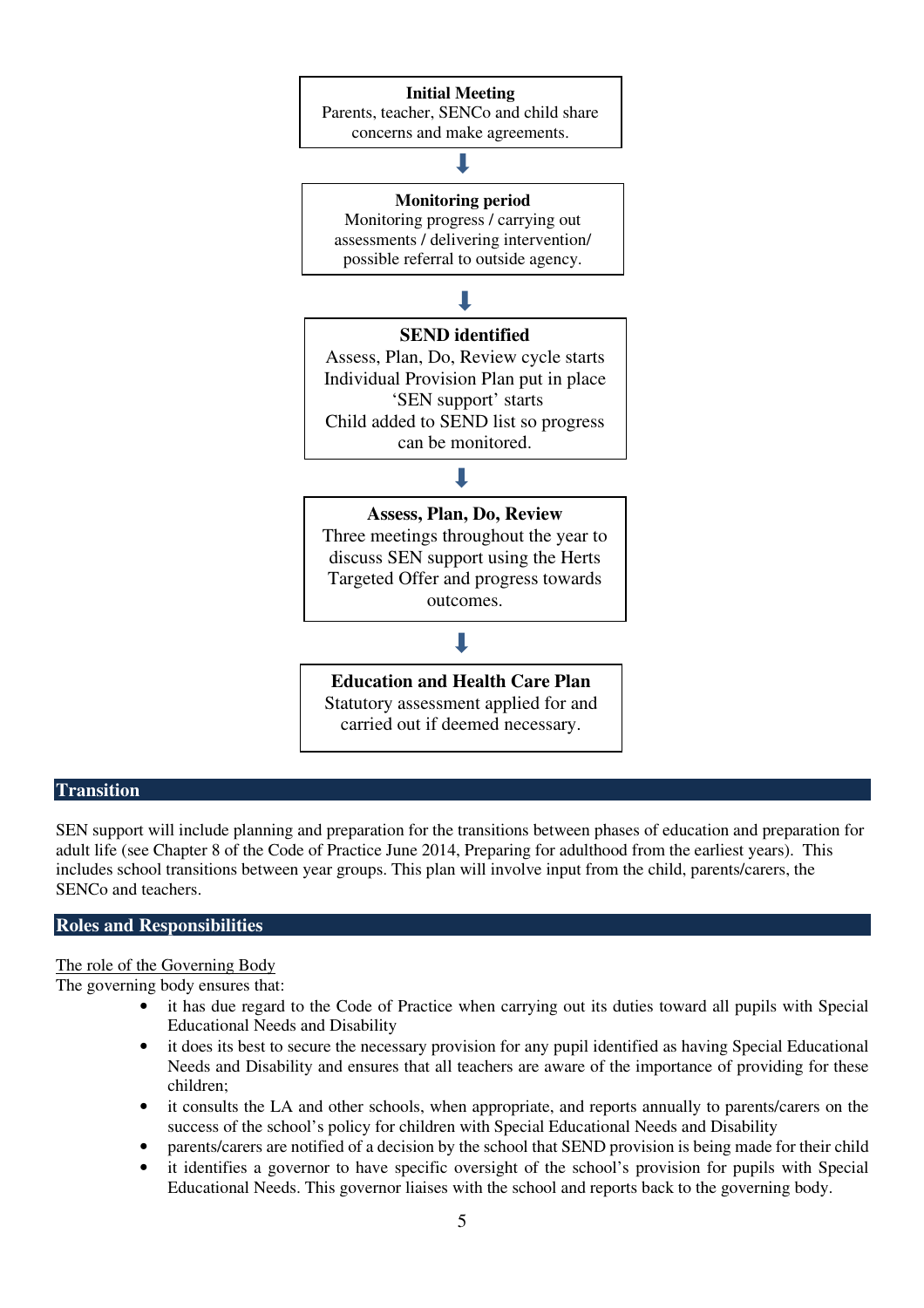#### **Initial Meeting**

Parents, teacher, SENCo and child share concerns and make agreements.

**Monitoring period** 

Monitoring progress / carrying out assessments / delivering intervention/ possible referral to outside agency.

# ┸

#### **SEND identified**

Assess, Plan, Do, Review cycle starts Individual Provision Plan put in place 'SEN support' starts Child added to SEND list so progress can be monitored.

## B

**Assess, Plan, Do, Review**  Three meetings throughout the year to discuss SEN support using the Herts Targeted Offer and progress towards outcomes.

# П

**Education and Health Care Plan**  Statutory assessment applied for and carried out if deemed necessary.

#### **Transition**

SEN support will include planning and preparation for the transitions between phases of education and preparation for adult life (see Chapter 8 of the Code of Practice June 2014, Preparing for adulthood from the earliest years). This includes school transitions between year groups. This plan will involve input from the child, parents/carers, the SENCo and teachers.

### **Roles and Responsibilities**

The role of the Governing Body

The governing body ensures that:

- it has due regard to the Code of Practice when carrying out its duties toward all pupils with Special Educational Needs and Disability
- it does its best to secure the necessary provision for any pupil identified as having Special Educational Needs and Disability and ensures that all teachers are aware of the importance of providing for these children;
- it consults the LA and other schools, when appropriate, and reports annually to parents/carers on the success of the school's policy for children with Special Educational Needs and Disability
- parents/carers are notified of a decision by the school that SEND provision is being made for their child
- it identifies a governor to have specific oversight of the school's provision for pupils with Special Educational Needs. This governor liaises with the school and reports back to the governing body.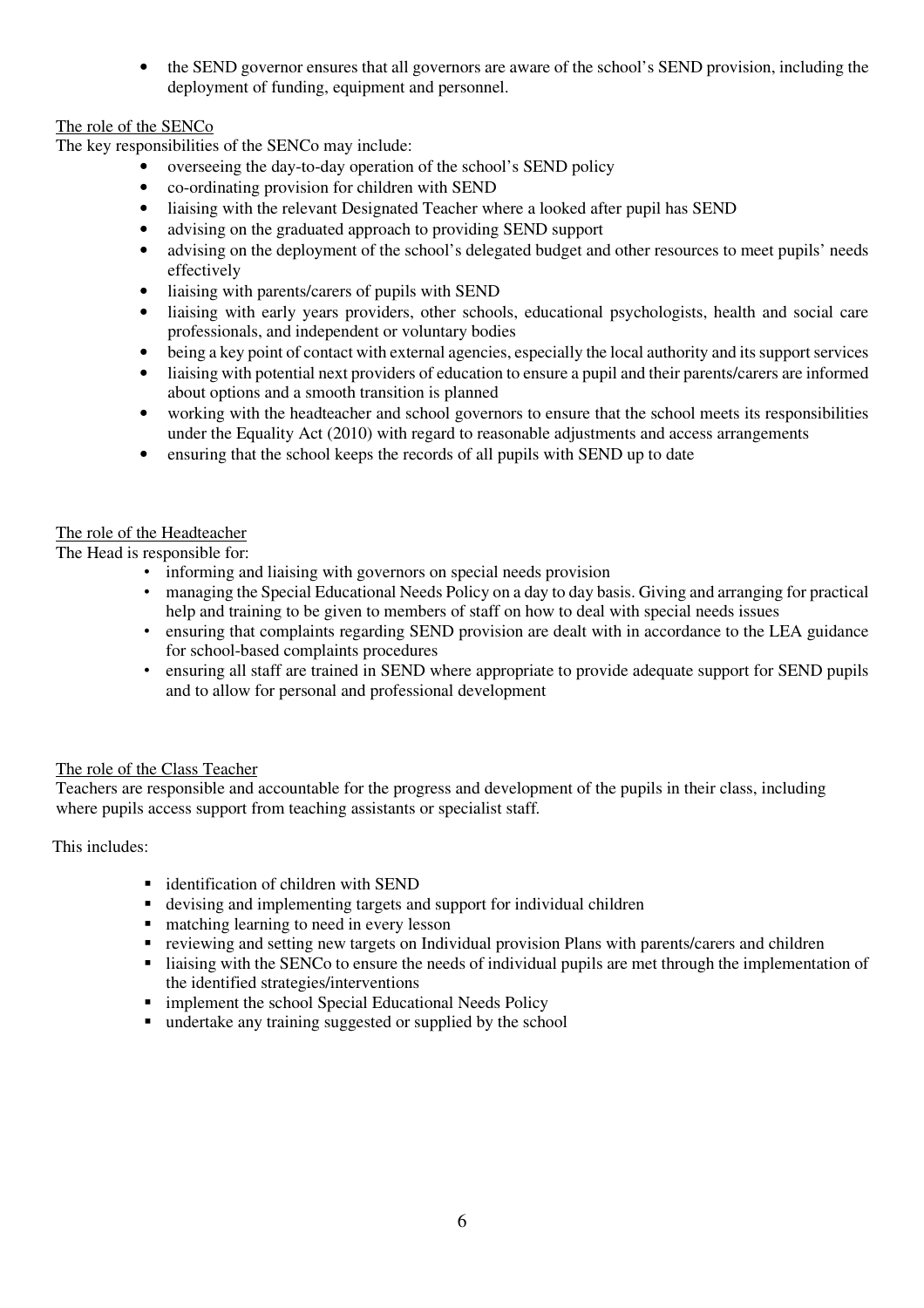• the SEND governor ensures that all governors are aware of the school's SEND provision, including the deployment of funding, equipment and personnel.

# The role of the SENCo

The key responsibilities of the SENCo may include:

- overseeing the day-to-day operation of the school's SEND policy
- co-ordinating provision for children with SEND
- liaising with the relevant Designated Teacher where a looked after pupil has SEND
- advising on the graduated approach to providing SEND support
- advising on the deployment of the school's delegated budget and other resources to meet pupils' needs effectively
- liaising with parents/carers of pupils with SEND
- liaising with early years providers, other schools, educational psychologists, health and social care professionals, and independent or voluntary bodies
- being a key point of contact with external agencies, especially the local authority and its support services
- liaising with potential next providers of education to ensure a pupil and their parents/carers are informed about options and a smooth transition is planned
- working with the headteacher and school governors to ensure that the school meets its responsibilities under the Equality Act (2010) with regard to reasonable adjustments and access arrangements
- ensuring that the school keeps the records of all pupils with SEND up to date

#### The role of the Headteacher

The Head is responsible for:

- informing and liaising with governors on special needs provision
- managing the Special Educational Needs Policy on a day to day basis. Giving and arranging for practical help and training to be given to members of staff on how to deal with special needs issues
- ensuring that complaints regarding SEND provision are dealt with in accordance to the LEA guidance for school-based complaints procedures
- ensuring all staff are trained in SEND where appropriate to provide adequate support for SEND pupils and to allow for personal and professional development

### The role of the Class Teacher

 Teachers are responsible and accountable for the progress and development of the pupils in their class, including where pupils access support from teaching assistants or specialist staff*.* 

This includes:

- identification of children with SEND
- devising and implementing targets and support for individual children
- matching learning to need in every lesson
- reviewing and setting new targets on Individual provision Plans with parents/carers and children
- liaising with the SENCo to ensure the needs of individual pupils are met through the implementation of the identified strategies/interventions
- **F** implement the school Special Educational Needs Policy
- undertake any training suggested or supplied by the school